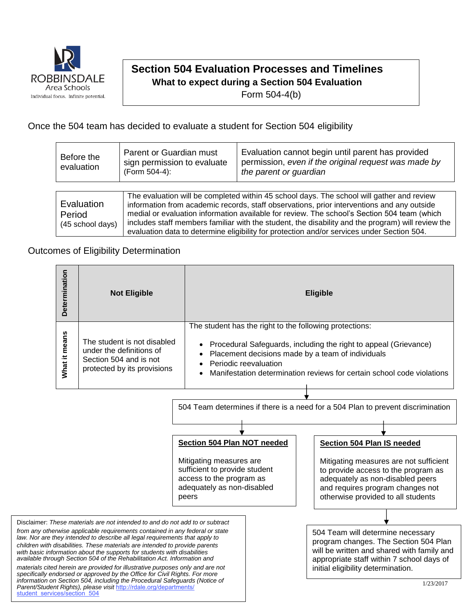

student\_services/section\_504

## **Section 504 Evaluation Processes and Timelines**

**What to expect during a Section 504 Evaluation**

Form 504-4(b)

## Once the 504 team has decided to evaluate a student for Section 504 eligibility

| Before the<br>evaluation                 | Parent or Guardian must<br>sign permission to evaluate<br>(Form 504-4):                                                                                                                                                                                                                                                                                                                                                                                                                   | Evaluation cannot begin until parent has provided<br>permission, even if the original request was made by<br>the parent or guardian |  |  |  |  |
|------------------------------------------|-------------------------------------------------------------------------------------------------------------------------------------------------------------------------------------------------------------------------------------------------------------------------------------------------------------------------------------------------------------------------------------------------------------------------------------------------------------------------------------------|-------------------------------------------------------------------------------------------------------------------------------------|--|--|--|--|
|                                          |                                                                                                                                                                                                                                                                                                                                                                                                                                                                                           |                                                                                                                                     |  |  |  |  |
| Evaluation<br>Period<br>(45 school days) | The evaluation will be completed within 45 school days. The school will gather and review<br>information from academic records, staff observations, prior interventions and any outside<br>medial or evaluation information available for review. The school's Section 504 team (which<br>includes staff members familiar with the student, the disability and the program) will review the<br>evaluation data to determine eligibility for protection and/or services under Section 504. |                                                                                                                                     |  |  |  |  |

## Outcomes of Eligibility Determination

*Parent/Student Rights), please visit* [http://rdale.org/departments/](http://rdale.org/departments/student_services/section_504)

| Determination                                                                                                                                                                                                                                                                                                                                                                                                                                                                                                                                                                                                                                    | <b>Not Eligible</b>                                                                                              |                                                                                                                                                            | <b>Eligible</b>                                                                                                                                                                                                                                                                     |                                                                                                                                                                                                                           |  |
|--------------------------------------------------------------------------------------------------------------------------------------------------------------------------------------------------------------------------------------------------------------------------------------------------------------------------------------------------------------------------------------------------------------------------------------------------------------------------------------------------------------------------------------------------------------------------------------------------------------------------------------------------|------------------------------------------------------------------------------------------------------------------|------------------------------------------------------------------------------------------------------------------------------------------------------------|-------------------------------------------------------------------------------------------------------------------------------------------------------------------------------------------------------------------------------------------------------------------------------------|---------------------------------------------------------------------------------------------------------------------------------------------------------------------------------------------------------------------------|--|
| What it means                                                                                                                                                                                                                                                                                                                                                                                                                                                                                                                                                                                                                                    | The student is not disabled<br>under the definitions of<br>Section 504 and is not<br>protected by its provisions |                                                                                                                                                            | The student has the right to the following protections:<br>Procedural Safeguards, including the right to appeal (Grievance)<br>Placement decisions made by a team of individuals<br>Periodic reevaluation<br>Manifestation determination reviews for certain school code violations |                                                                                                                                                                                                                           |  |
| 504 Team determines if there is a need for a 504 Plan to prevent discrimination                                                                                                                                                                                                                                                                                                                                                                                                                                                                                                                                                                  |                                                                                                                  |                                                                                                                                                            |                                                                                                                                                                                                                                                                                     |                                                                                                                                                                                                                           |  |
|                                                                                                                                                                                                                                                                                                                                                                                                                                                                                                                                                                                                                                                  |                                                                                                                  |                                                                                                                                                            |                                                                                                                                                                                                                                                                                     |                                                                                                                                                                                                                           |  |
|                                                                                                                                                                                                                                                                                                                                                                                                                                                                                                                                                                                                                                                  |                                                                                                                  |                                                                                                                                                            |                                                                                                                                                                                                                                                                                     |                                                                                                                                                                                                                           |  |
|                                                                                                                                                                                                                                                                                                                                                                                                                                                                                                                                                                                                                                                  |                                                                                                                  | Section 504 Plan NOT needed<br>Mitigating measures are<br>sufficient to provide student<br>access to the program as<br>adequately as non-disabled<br>peers |                                                                                                                                                                                                                                                                                     | Section 504 Plan IS needed<br>Mitigating measures are not sufficient<br>to provide access to the program as<br>adequately as non-disabled peers<br>and requires program changes not<br>otherwise provided to all students |  |
| Disclaimer: These materials are not intended to and do not add to or subtract                                                                                                                                                                                                                                                                                                                                                                                                                                                                                                                                                                    |                                                                                                                  |                                                                                                                                                            |                                                                                                                                                                                                                                                                                     |                                                                                                                                                                                                                           |  |
| from any otherwise applicable requirements contained in any federal or state<br>law. Nor are they intended to describe all legal requirements that apply to<br>children with disabilities. These materials are intended to provide parents<br>with basic information about the supports for students with disabilities<br>available through Section 504 of the Rehabilitation Act. Information and<br>materials cited herein are provided for illustrative purposes only and are not<br>specifically endorsed or approved by the Office for Civil Rights. For more<br>information on Section 504, including the Procedural Safeguards (Notice of |                                                                                                                  |                                                                                                                                                            |                                                                                                                                                                                                                                                                                     | 504 Team will determine necessary<br>program changes. The Section 504 Plan<br>will be written and shared with family and<br>appropriate staff within 7 school days of<br>initial eligibility determination.<br>1/23/2017  |  |